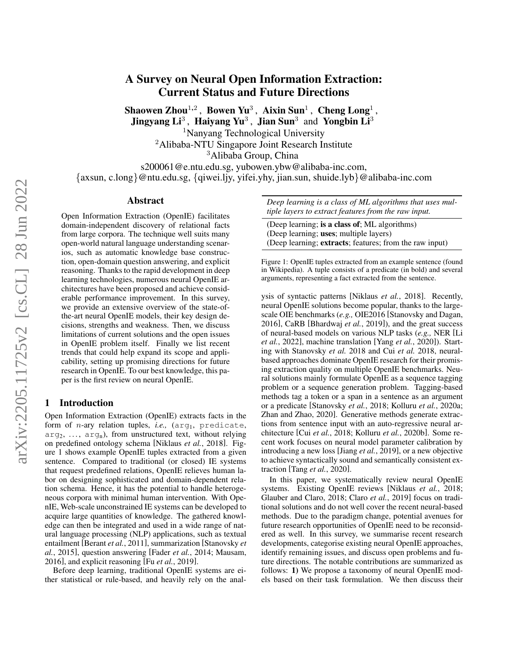# arXiv:2205.11725v2 [cs.CL] 28 Jun 2022 arXiv:2205.11725v2 [cs.CL] 28 Jun 2022

# A Survey on Neural Open Information Extraction: Current Status and Future Directions

Shaowen Zhou $^{1,2}$  , Bowen Yu $^3$  , Aixin Sun $^1$  , Cheng Long $^1$  ,

Jingyang Li<sup>3</sup>, Haiyang Yu<sup>3</sup>, Jian Sun<sup>3</sup> and Yongbin Li<sup>3</sup>

<sup>1</sup>Nanyang Technological University

<sup>2</sup>Alibaba-NTU Singapore Joint Research Institute

<sup>3</sup>Alibaba Group, China

s200061@e.ntu.edu.sg, yubowen.ybw@alibaba-inc.com, {axsun, c.long}@ntu.edu.sg, {qiwei.ljy, yifei.yhy, jian.sun, shuide.lyb}@alibaba-inc.com

### Abstract

Open Information Extraction (OpenIE) facilitates domain-independent discovery of relational facts from large corpora. The technique well suits many open-world natural language understanding scenarios, such as automatic knowledge base construction, open-domain question answering, and explicit reasoning. Thanks to the rapid development in deep learning technologies, numerous neural OpenIE architectures have been proposed and achieve considerable performance improvement. In this survey, we provide an extensive overview of the state-ofthe-art neural OpenIE models, their key design decisions, strengths and weakness. Then, we discuss limitations of current solutions and the open issues in OpenIE problem itself. Finally we list recent trends that could help expand its scope and applicability, setting up promising directions for future research in OpenIE. To our best knowledge, this paper is the first review on neural OpenIE.

### 1 Introduction

Open Information Extraction (OpenIE) extracts facts in the form of *n*-ary relation tuples, *i.e.*, (arg<sub>1</sub>, predicate,  $arg_2, \ldots$ ,  $arg_n$ ), from unstructured text, without relying on predefined ontology schema [\[Niklaus](#page-7-0) *et al.*, 2018]. Figure [1](#page-0-0) shows example OpenIE tuples extracted from a given sentence. Compared to traditional (or closed) IE systems that request predefined relations, OpenIE relieves human labor on designing sophisticated and domain-dependent relation schema. Hence, it has the potential to handle heterogeneous corpora with minimal human intervention. With OpenIE, Web-scale unconstrained IE systems can be developed to acquire large quantities of knowledge. The gathered knowledge can then be integrated and used in a wide range of natural language processing (NLP) applications, such as textual entailment [\[Berant](#page-6-0) *et al.*, 2011], summarization [\[Stanovsky](#page-7-1) *et al.*[, 2015\]](#page-7-1), question answering [Fader *et al.*[, 2014;](#page-6-1) [Mausam,](#page-7-2) [2016\]](#page-7-2), and explicit reasoning [Fu *et al.*[, 2019\]](#page-6-2).

Before deep learning, traditional OpenIE systems are either statistical or rule-based, and heavily rely on the anal<span id="page-0-0"></span>*Deep learning is a class of ML algorithms that uses multiple layers to extract features from the raw input.*

(Deep learning; is a class of; ML algorithms) (Deep learning; uses; multiple layers) (Deep learning; extracts; features; from the raw input)

Figure 1: OpenIE tuples extracted from an example sentence (found in Wikipedia). A tuple consists of a predicate (in bold) and several arguments, representing a fact extracted from the sentence.

ysis of syntactic patterns [\[Niklaus](#page-7-0) *et al.*, 2018]. Recently, neural OpenIE solutions become popular, thanks to the largescale OIE benchmarks (*e.g.,* OIE2016 [\[Stanovsky and Dagan,](#page-7-3) [2016\]](#page-7-3), CaRB [\[Bhardwaj](#page-6-3) *et al.*, 2019]), and the great success of neural-based models on various NLP tasks (*e.g.,* NER [\[Li](#page-7-4) *et al.*[, 2022\]](#page-7-4), machine translation [Yang *et al.*[, 2020\]](#page-7-5)). Starting with [Stanovsky](#page-7-6) *et al.* [2018](#page-7-6) and Cui *[et al.](#page-6-4)* [2018,](#page-6-4) neuralbased approaches dominate OpenIE research for their promising extraction quality on multiple OpenIE benchmarks. Neural solutions mainly formulate OpenIE as a sequence tagging problem or a sequence generation problem. Tagging-based methods tag a token or a span in a sentence as an argument or a predicate [\[Stanovsky](#page-7-6) *et al.*, 2018; [Kolluru](#page-6-5) *et al.*, 2020a; [Zhan and Zhao, 2020\]](#page-7-7). Generative methods generate extractions from sentence input with an auto-regressive neural architecture [Cui *et al.*[, 2018;](#page-6-4) Kolluru *et al.*[, 2020b\]](#page-6-6). Some recent work focuses on neural model parameter calibration by introducing a new loss [Jiang *et al.*[, 2019\]](#page-6-7), or a new objective to achieve syntactically sound and semantically consistent extraction [Tang *et al.*[, 2020\]](#page-7-8).

In this paper, we systematically review neural OpenIE systems. Existing OpenIE reviews [\[Niklaus](#page-7-0) *et al.*, 2018; [Glauber and Claro, 2018;](#page-6-8) Claro *et al.*[, 2019\]](#page-6-9) focus on traditional solutions and do not well cover the recent neural-based methods. Due to the paradigm change, potential avenues for future research opportunities of OpenIE need to be reconsidered as well. In this survey, we summarise recent research developments, categorise existing neural OpenIE approaches, identify remaining issues, and discuss open problems and future directions. The notable contributions are summarized as follows: 1) We propose a taxonomy of neural OpenIE models based on their task formulation. We then discuss their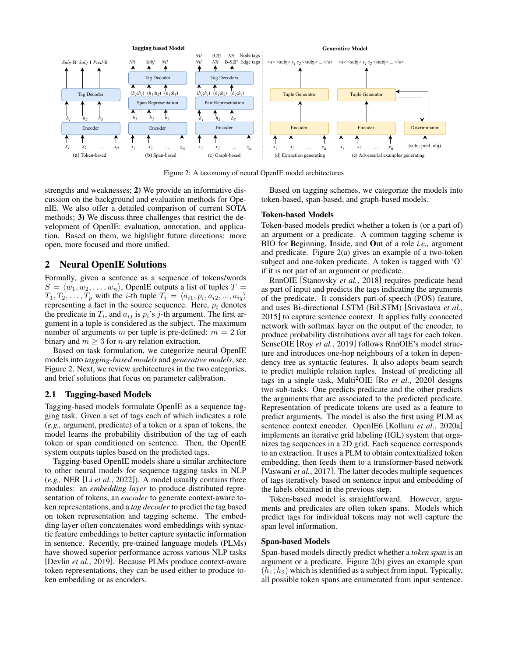<span id="page-1-0"></span>

Figure 2: A taxonomy of neural OpenIE model architectures

strengths and weaknesses; 2) We provide an informative discussion on the background and evaluation methods for OpenIE. We also offer a detailed comparison of current SOTA methods; 3) We discuss three challenges that restrict the development of OpenIE: evaluation, annotation, and application. Based on them, we highlight future directions: more open, more focused and more unified.

### 2 Neural OpenIE Solutions

Formally, given a sentence as a sequence of tokens/words  $S = \langle w_1, w_2, \ldots, w_n \rangle$ , OpenIE outputs a list of tuples  $T =$  $T_1, T_2, \ldots, T_p$  with the *i*-th tuple  $T_i = \langle a_{i1}, p_i, a_{i2}, \ldots, a_{iq} \rangle$ representing a fact in the source sequence. Here,  $p_i$  denotes the predicate in  $T_i$ , and  $a_{ij}$  is  $p_i$ 's j-th argument. The first argument in a tuple is considered as the subject. The maximum number of arguments m per tuple is pre-defined:  $m = 2$  for binary and  $m \geq 3$  for *n*-ary relation extraction.

Based on task formulation, we categorize neural OpenIE models into *tagging-based models* and *generative models*, see Figure [2.](#page-1-0) Next, we review architectures in the two categories, and brief solutions that focus on parameter calibration.

### 2.1 Tagging-based Models

Tagging-based models formulate OpenIE as a sequence tagging task. Given a set of tags each of which indicates a role (*e.g.,* argument, predicate) of a token or a span of tokens, the model learns the probability distribution of the tag of each token or span conditioned on sentence. Then, the OpenIE system outputs tuples based on the predicted tags.

Tagging-based OpenIE models share a similar architecture to other neural models for sequence tagging tasks in NLP (*e.g.,* NER [Li *et al.*[, 2022\]](#page-7-4)). A model usually contains three modules: an *embedding layer* to produce distributed representation of tokens, an *encoder* to generate context-aware token representations, and a *tag decoder* to predict the tag based on token representation and tagging scheme. The embedding layer often concatenates word embeddings with syntactic feature embeddings to better capture syntactic information in sentence. Recently, pre-trained language models (PLMs) have showed superior performance across various NLP tasks [\[Devlin](#page-6-10) *et al.*, 2019]. Because PLMs produce context-aware token representations, they can be used either to produce token embedding or as encoders.

Based on tagging schemes, we categorize the models into token-based, span-based, and graph-based models.

### Token-based Models

Token-based models predict whether a token is (or a part of) an argument or a predicate. A common tagging scheme is BIO for Beginning, Inside, and Out of a role *i.e.,* argument and predicate. Figure [2\(](#page-1-0)a) gives an example of a two-token subject and one-token predicate. A token is tagged with 'O' if it is not part of an argument or predicate.

RnnOIE [\[Stanovsky](#page-7-6) *et al.*, 2018] requires predicate head as part of input and predicts the tags indicating the arguments of the predicate. It considers part-of-speech (POS) feature, and uses Bi-directional LSTM (BiLSTM) [\[Srivastava](#page-7-9) *et al.*, [2015\]](#page-7-9) to capture sentence context. It applies fully connected network with softmax layer on the output of the encoder, to produce probability distributions over all tags for each token. SenseOIE [Roy *et al.*[, 2019\]](#page-7-10) follows RnnOIE's model structure and introduces one-hop neighbours of a token in dependency tree as syntactic features. It also adopts beam search to predict multiple relation tuples. Instead of predicting all tags in a single task, Multi<sup>2</sup>OIE [Ro *et al.*[, 2020\]](#page-7-11) designs two sub-tasks. One predicts predicate and the other predicts the arguments that are associated to the predicted predicate. Representation of predicate tokens are used as a feature to predict arguments. The model is also the first using PLM as sentence context encoder. OpenIE6 [Kolluru *et al.*[, 2020a\]](#page-6-5) implements an iterative grid labeling (IGL) system that organizes tag sequences in a 2D grid. Each sequence corresponds to an extraction. It uses a PLM to obtain contextualized token embedding, then feeds them to a transformer-based network [\[Vaswani](#page-7-12) *et al.*, 2017]. The latter decodes multiple sequences of tags iteratively based on sentence input and embedding of the labels obtained in the previous step.

Token-based model is straightforward. However, arguments and predicates are often token spans. Models which predict tags for individual tokens may not well capture the span level information.

### Span-based Models

Span-based models directly predict whether a *token span* is an argument or a predicate. Figure [2\(](#page-1-0)b) gives an example span  $(h_1; h_2)$  which is identified as a subject from input. Typically, all possible token spans are enumerated from input sentence.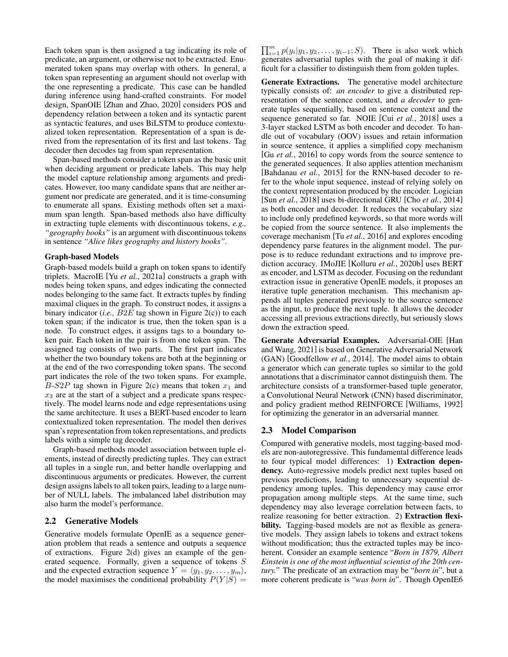Each token span is then assigned a tag indicating its role of predicate, an argument, or otherwise not to be extracted. Enumerated token spans may overlap with others. In general, a token span representing an argument should not overlap with the one representing a predicate. This case can be handled during inference using hand-crafted constraints. For model design, SpanOIE [\[Zhan and Zhao, 2020\]](#page-7-7) considers POS and dependency relation between a token and its syntactic parent as syntactic features, and uses BiLSTM to produce contextualized token representation. Representation of a span is derived from the representation of its first and last tokens. Tag decoder then decodes tag from span representation.

Span-based methods consider a token span as the basic unit when deciding argument or predicate labels. This may help the model capture relationship among arguments and predicates. However, too many candidate spans that are neither argument nor predicate are generated, and it is time-consuming to enumerate all spans. Existing methods often set a maximum span length. Span-based methods also have difficulty in extracting tuple elements with discontinuous tokens, *e.g., "geography books"* is an argument with discontinuous tokens in sentence *"Alice likes geography and history books"*.

### Graph-based Models

Graph-based models build a graph on token spans to identify triplets. MacroIE [Yu *et al.*[, 2021a\]](#page-7-13) constructs a graph with nodes being token spans, and edges indicating the connected nodes belonging to the same fact. It extracts tuples by finding maximal cliques in the graph. To construct nodes, it assigns a binary indicator (*i.e.,* B2E tag shown in Figure [2\(](#page-1-0)c)) to each token span; if the indicator is true, then the token span is a node. To construct edges, it assigns tags to a boundary token pair. Each token in the pair is from one token span. The assigned tag consists of two parts. The first part indicates whether the two boundary tokens are both at the beginning or at the end of the two corresponding token spans. The second part indicates the role of the two token spans. For example, B-S2P tag shown in Figure [2\(](#page-1-0)c) means that token  $x_1$  and  $x_3$  are at the start of a subject and a predicate spans respectively. The model learns node and edge representations using the same architecture. It uses a BERT-based encoder to learn contextualized token representation. The model then derives span's representation from token representations, and predicts labels with a simple tag decoder.

Graph-based methods model association between tuple elements, instead of directly predicting tuples. They can extract all tuples in a single run, and better handle overlapping and discontinuous arguments or predicates. However, the current design assigns labels to all token pairs, leading to a large number of NULL labels. The imbalanced label distribution may also harm the model's performance.

### 2.2 Generative Models

Generative models formulate OpenIE as a sequence generation problem that reads a sentence and outputs a sequence of extractions. Figure [2\(](#page-1-0)d) gives an example of the generated sequence. Formally, given a sequence of tokens S and the expected extraction sequence  $Y = \langle y_1, y_2, \dots, y_m \rangle$ , the model maximises the conditional probability  $P(Y|S) =$ 

 $\prod_{i=1}^{m} p(y_i | y_1, y_2, \dots, y_{i-1}; S)$ . There is also work which generates adversarial tuples with the goal of making it difficult for a classifier to distinguish them from golden tuples.

Generate Extractions. The generative model architecture typically consists of: *an encoder* to give a distributed representation of the sentence context, and *a decoder* to generate tuples sequentially, based on sentence context and the sequence generated so far. NOIE [Cui *et al.*[, 2018\]](#page-6-4) uses a 3-layer stacked LSTM as both encoder and decoder. To handle out of vocabulary (OOV) issues and retain information in source sentence, it applies a simplified copy mechanism [Gu *et al.*[, 2016\]](#page-6-11) to copy words from the source sentence to the generated sequences. It also applies attention mechanism [\[Bahdanau](#page-6-12) *et al.*, 2015] for the RNN-based decoder to refer to the whole input sequence, instead of relying solely on the context representation produced by the encoder. Logician [Sun *et al.*[, 2018\]](#page-7-14) uses bi-directional GRU [Cho *et al.*[, 2014\]](#page-6-13) as both encoder and decoder. It reduces the vocabulary size to include only predefined keywords, so that more words will be copied from the source sentence. It also implements the coverage mechanism [Tu *et al.*[, 2016\]](#page-7-15) and explores encoding dependency parse features in the alignment model. The purpose is to reduce redundant extractions and to improve prediction accuracy. IMoJIE [\[Kolluru](#page-6-6) *et al.*, 2020b] uses BERT as encoder, and LSTM as decoder. Focusing on the redundant extraction issue in generative OpenIE models, it proposes an iterative tuple generation mechanism. This mechanism appends all tuples generated previously to the source sentence as the input, to produce the next tuple. It allows the decoder accessing all previous extractions directly, but seriously slows down the extraction speed.

Generate Adversarial Examples. Adversarial-OIE [\[Han](#page-6-14) [and Wang, 2021\]](#page-6-14) is based on Generative Adversarial Network (GAN) [\[Goodfellow](#page-6-15) *et al.*, 2014]. The model aims to obtain a generator which can generate tuples so similar to the gold annotations that a discriminator cannot distinguish them. The architecture consists of a transformer-based tuple generator, a Convolutional Neural Network (CNN) based discriminator, and policy gradient method REINFORCE [\[Williams, 1992\]](#page-7-16) for optimizing the generator in an adversarial manner.

### 2.3 Model Comparison

Compared with generative models, most tagging-based models are non-autoregressive. This fundamental difference leads to four typical model differences: 1) Extraction dependency. Auto-regressive models predict next tuples based on previous predictions, leading to unnecessary sequential dependency among tuples. This dependency may cause error propagation among multiple steps. At the same time, such dependency may also leverage correlation between facts, to realize reasoning for better extraction. 2) Extraction flexibility. Tagging-based models are not as flexible as generative models. They assign labels to tokens and extract tokens without modification; thus the extracted tuples may be incoherent. Consider an example sentence "*Born in 1879, Albert Einstein is one of the most influential scientist of the 20th century.*" The predicate of an extraction may be "*born in*", but a more coherent predicate is "*was born in*". Though OpenIE6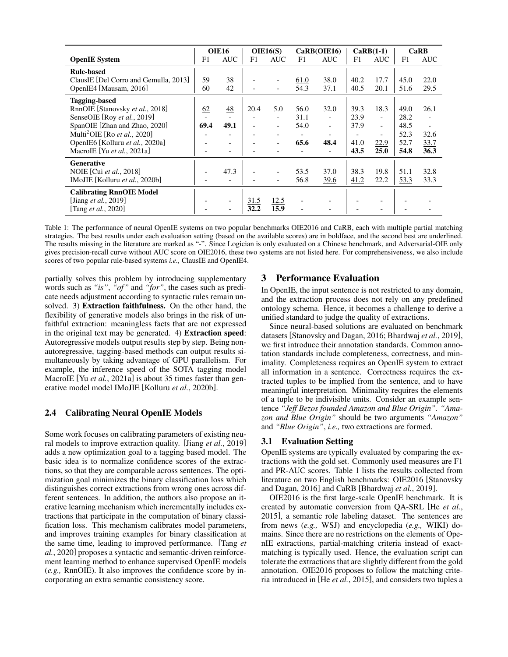<span id="page-3-0"></span>

|                                          | <b>OIE16</b> |                          | OIE16(S)                 |                          | CaRB(OIE16) |                          | $CaRB(1-1)$ |                          | CaRB |                          |
|------------------------------------------|--------------|--------------------------|--------------------------|--------------------------|-------------|--------------------------|-------------|--------------------------|------|--------------------------|
| <b>OpenIE</b> System                     | F1           | <b>AUC</b>               | F1                       | <b>AUC</b>               | F1          | <b>AUC</b>               | F1          | <b>AUC</b>               | F1   | <b>AUC</b>               |
| <b>Rule-based</b>                        |              |                          |                          |                          |             |                          |             |                          |      |                          |
| ClausIE [Del Corro and Gemulla, 2013]    | 59           | 38                       |                          | $\overline{\phantom{0}}$ | 61.0        | 38.0                     | 40.2        | 17.7                     | 45.0 | 22.0                     |
| OpenIE4 [Mausam, 2016]                   | 60           | 42                       |                          | $\overline{\phantom{a}}$ | 54.3        | 37.1                     | 40.5        | 20.1                     | 51.6 | 29.5                     |
| <b>Tagging-based</b>                     |              |                          |                          |                          |             |                          |             |                          |      |                          |
| RnnOIE [Stanovsky et al., 2018]          | 62           | $\frac{48}{5}$           | 20.4                     | 5.0                      | 56.0        | 32.0                     | 39.3        | 18.3                     | 49.0 | 26.1                     |
| SenseOIE [Roy et al., 2019]              |              |                          |                          | $\overline{\phantom{0}}$ | 31.1        | $\blacksquare$           | 23.9        | $\overline{\phantom{a}}$ | 28.2 | $\overline{\phantom{a}}$ |
| SpanOIE [Zhan and Zhao, 2020]            | 69.4         | 49.1                     | $\overline{\phantom{a}}$ | $\overline{\phantom{0}}$ | 54.0        | $\overline{\phantom{a}}$ | 37.9        | $\overline{\phantom{0}}$ | 48.5 | $\overline{\phantom{0}}$ |
| Multi <sup>2</sup> OIE [Ro et al., 2020] |              |                          |                          | $\overline{\phantom{0}}$ |             | $\overline{\phantom{a}}$ |             | $\overline{\phantom{0}}$ | 52.3 | 32.6                     |
| OpenIE6 [Kolluru et al., 2020a]          |              |                          |                          | $\blacksquare$           | 65.6        | 48.4                     | 41.0        | 22.9                     | 52.7 | 33.7                     |
| MacroIE [Yu et al., 2021a]               |              | $\overline{\phantom{a}}$ |                          | $\overline{\phantom{0}}$ |             | $\overline{\phantom{0}}$ | 43.5        | 25.0                     | 54.8 | 36.3                     |
| <b>Generative</b>                        |              |                          |                          |                          |             |                          |             |                          |      |                          |
| NOIE [Cui et al., 2018]                  |              | 47.3                     |                          | $\overline{\phantom{0}}$ | 53.5        | 37.0                     | 38.3        | 19.8                     | 51.1 | 32.8                     |
| IMoJIE [Kolluru et al., 2020b]           |              | $\overline{\phantom{a}}$ |                          | $\overline{\phantom{a}}$ | 56.8        | 39.6                     | 41.2        | 22.2                     | 53.3 | 33.3                     |
| <b>Calibrating RnnOIE Model</b>          |              |                          |                          |                          |             |                          |             |                          |      |                          |
| [Jiang <i>et al.</i> , 2019]             |              | $\overline{\phantom{a}}$ | 31.5                     | 12.5                     |             |                          |             |                          |      |                          |
| [Tang <i>et al.</i> , 2020]              |              |                          | 32.2                     | 15.9                     |             |                          |             |                          |      |                          |

Table 1: The performance of neural OpenIE systems on two popular benchmarks OIE2016 and CaRB, each with multiple partial matching strategies. The best results under each evaluation setting (based on the available scores) are in boldface, and the second best are underlined. The results missing in the literature are marked as "-". Since Logician is only evaluated on a Chinese benchmark, and Adversarial-OIE only gives precision-recall curve without AUC score on OIE2016, these two systems are not listed here. For comprehensiveness, we also include scores of two popular rule-based systems *i.e.,* ClausIE and OpenIE4.

partially solves this problem by introducing supplementary words such as *"is"*, *"of"* and *"for"*, the cases such as predicate needs adjustment according to syntactic rules remain unsolved. 3) Extraction faithfulness. On the other hand, the flexibility of generative models also brings in the risk of unfaithful extraction: meaningless facts that are not expressed in the original text may be generated. 4) Extraction speed: Autoregressive models output results step by step. Being nonautoregressive, tagging-based methods can output results simultaneously by taking advantage of GPU parallelism. For example, the inference speed of the SOTA tagging model MacroIE [Yu *et al.*[, 2021a\]](#page-7-13) is about 35 times faster than generative model model IMoJIE [\[Kolluru](#page-6-6) *et al.*, 2020b].

# 2.4 Calibrating Neural OpenIE Models

Some work focuses on calibrating parameters of existing neural models to improve extraction quality. [Jiang *et al.*[, 2019\]](#page-6-7) adds a new optimization goal to a tagging based model. The basic idea is to normalize confidence scores of the extractions, so that they are comparable across sentences. The optimization goal minimizes the binary classification loss which distinguishes correct extractions from wrong ones across different sentences. In addition, the authors also propose an iterative learning mechanism which incrementally includes extractions that participate in the computation of binary classification loss. This mechanism calibrates model parameters, and improves training examples for binary classification at the same time, leading to improved performance. [\[Tang](#page-7-8) *et al.*[, 2020\]](#page-7-8) proposes a syntactic and semantic-driven reinforcement learning method to enhance supervised OpenIE models (*e.g.,* RnnOIE). It also improves the confidence score by incorporating an extra semantic consistency score.

# 3 Performance Evaluation

In OpenIE, the input sentence is not restricted to any domain, and the extraction process does not rely on any predefined ontology schema. Hence, it becomes a challenge to derive a unified standard to judge the quality of extractions.

Since neural-based solutions are evaluated on benchmark datasets [\[Stanovsky and Dagan, 2016;](#page-7-3) [Bhardwaj](#page-6-3) *et al.*, 2019], we first introduce their annotation standards. Common annotation standards include completeness, correctness, and minimality. Completeness requires an OpenIE system to extract all information in a sentence. Correctness requires the extracted tuples to be implied from the sentence, and to have meaningful interpretation. Minimality requires the elements of a tuple to be indivisible units. Consider an example sentence *"Jeff Bezos founded Amazon and Blue Origin". "Amazon and Blue Origin"* should be two arguments *"Amazon"* and *"Blue Origin"*, *i.e.,* two extractions are formed.

# 3.1 Evaluation Setting

OpenIE systems are typically evaluated by comparing the extractions with the gold set. Commonly used measures are F1 and PR-AUC scores. Table [1](#page-3-0) lists the results collected from literature on two English benchmarks: OIE2016 [\[Stanovsky](#page-7-3) [and Dagan, 2016\]](#page-7-3) and CaRB [\[Bhardwaj](#page-6-3) *et al.*, 2019].

OIE2016 is the first large-scale OpenIE benchmark. It is created by automatic conversion from QA-SRL [He *[et al.](#page-6-17)*, [2015\]](#page-6-17), a semantic role labeling dataset. The sentences are from news (*e.g.,* WSJ) and encyclopedia (*e.g.,* WIKI) domains. Since there are no restrictions on the elements of OpenIE extractions, partial-matching criteria instead of exactmatching is typically used. Hence, the evaluation script can tolerate the extractions that are slightly different from the gold annotation. OIE2016 proposes to follow the matching criteria introduced in [He *et al.*[, 2015\]](#page-6-17), and considers two tuples a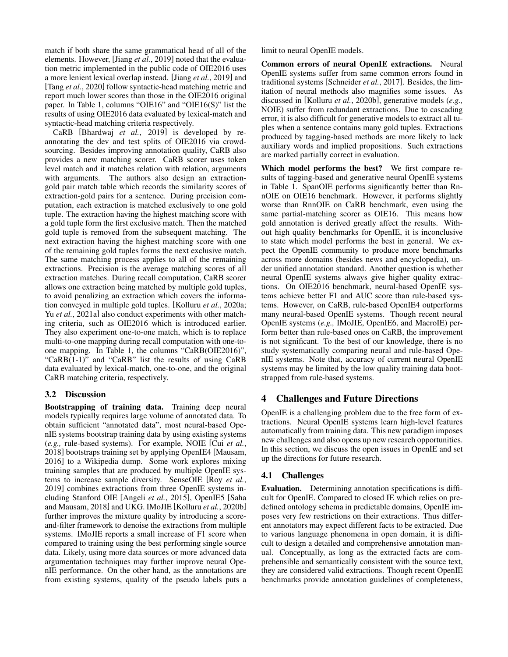match if both share the same grammatical head of all of the elements. However, [Jiang *et al.*[, 2019\]](#page-6-7) noted that the evaluation metric implemented in the public code of OIE2016 uses a more lenient lexical overlap instead. [Jiang *et al.*[, 2019\]](#page-6-7) and [Tang *et al.*[, 2020\]](#page-7-8) follow syntactic-head matching metric and report much lower scores than those in the OIE2016 original paper. In Table [1,](#page-3-0) columns "OIE16" and "OIE16(S)" list the results of using OIE2016 data evaluated by lexical-match and syntactic-head matching criteria respectively.

CaRB [\[Bhardwaj](#page-6-3) *et al.*, 2019] is developed by reannotating the dev and test splits of OIE2016 via crowdsourcing. Besides improving annotation quality, CaRB also provides a new matching scorer. CaRB scorer uses token level match and it matches relation with relation, arguments with arguments. The authors also design an extractiongold pair match table which records the similarity scores of extraction-gold pairs for a sentence. During precision computation, each extraction is matched exclusively to one gold tuple. The extraction having the highest matching score with a gold tuple form the first exclusive match. Then the matched gold tuple is removed from the subsequent matching. The next extraction having the highest matching score with one of the remaining gold tuples forms the next exclusive match. The same matching process applies to all of the remaining extractions. Precision is the average matching scores of all extraction matches. During recall computation, CaRB scorer allows one extraction being matched by multiple gold tuples, to avoid penalizing an extraction which covers the information conveyed in multiple gold tuples. [\[Kolluru](#page-6-5) *et al.*, 2020a; Yu *et al.*[, 2021a\]](#page-7-13) also conduct experiments with other matching criteria, such as OIE2016 which is introduced earlier. They also experiment one-to-one match, which is to replace multi-to-one mapping during recall computation with one-toone mapping. In Table [1,](#page-3-0) the columns "CaRB(OIE2016)", "CaRB(1-1)" and "CaRB" list the results of using CaRB data evaluated by lexical-match, one-to-one, and the original CaRB matching criteria, respectively.

# 3.2 Discussion

Bootstrapping of training data. Training deep neural models typically requires large volume of annotated data. To obtain sufficient "annotated data", most neural-based OpenIE systems bootstrap training data by using existing systems (*e.g.,* rule-based systems). For example, NOIE [Cui *[et al.](#page-6-4)*, [2018\]](#page-6-4) bootstraps training set by applying OpenIE4 [\[Mausam,](#page-7-2) [2016\]](#page-7-2) to a Wikipedia dump. Some work explores mixing training samples that are produced by multiple OpenIE systems to increase sample diversity. SenseOIE [Roy *[et al.](#page-7-10)*, [2019\]](#page-7-10) combines extractions from three OpenIE systems including Stanford OIE [\[Angeli](#page-6-18) *et al.*, 2015], OpenIE5 [\[Saha](#page-7-17) [and Mausam, 2018\]](#page-7-17) and UKG. IMoJIE [\[Kolluru](#page-6-6) *et al.*, 2020b] further improves the mixture quality by introducing a scoreand-filter framework to denoise the extractions from multiple systems. IMoJIE reports a small increase of F1 score when compared to training using the best performing single source data. Likely, using more data sources or more advanced data argumentation techniques may further improve neural OpenIE performance. On the other hand, as the annotations are from existing systems, quality of the pseudo labels puts a limit to neural OpenIE models.

Common errors of neural OpenIE extractions. Neural OpenIE systems suffer from same common errors found in traditional systems [\[Schneider](#page-7-18) *et al.*, 2017]. Besides, the limitation of neural methods also magnifies some issues. As discussed in [\[Kolluru](#page-6-6) *et al.*, 2020b], generative models (*e.g.,* NOIE) suffer from redundant extractions. Due to cascading error, it is also difficult for generative models to extract all tuples when a sentence contains many gold tuples. Extractions produced by tagging-based methods are more likely to lack auxiliary words and implied propositions. Such extractions are marked partially correct in evaluation.

Which model performs the best? We first compare results of tagging-based and generative neural OpenIE systems in Table [1.](#page-3-0) SpanOIE performs significantly better than RnnOIE on OIE16 benchmark. However, it performs slightly worse than RnnOIE on CaRB benchmark, even using the same partial-matching scorer as OIE16. This means how gold annotation is derived greatly affect the results. Without high quality benchmarks for OpenIE, it is inconclusive to state which model performs the best in general. We expect the OpenIE community to produce more benchmarks across more domains (besides news and encyclopedia), under unified annotation standard. Another question is whether neural OpenIE systems always give higher quality extractions. On OIE2016 benchmark, neural-based OpenIE systems achieve better F1 and AUC score than rule-based systems. However, on CaRB, rule-based OpenIE4 outperforms many neural-based OpenIE systems. Though recent neural OpenIE systems (*e.g.,* IMoJIE, OpenIE6, and MacroIE) perform better than rule-based ones on CaRB, the improvement is not significant. To the best of our knowledge, there is no study systematically comparing neural and rule-based OpenIE systems. Note that, accuracy of current neural OpenIE systems may be limited by the low quality training data bootstrapped from rule-based systems.

# 4 Challenges and Future Directions

OpenIE is a challenging problem due to the free form of extractions. Neural OpenIE systems learn high-level features automatically from training data. This new paradigm imposes new challenges and also opens up new research opportunities. In this section, we discuss the open issues in OpenIE and set up the directions for future research.

# 4.1 Challenges

Evaluation. Determining annotation specifications is difficult for OpenIE. Compared to closed IE which relies on predefined ontology schema in predictable domains, OpenIE imposes very few restrictions on their extractions. Thus different annotators may expect different facts to be extracted. Due to various language phenomena in open domain, it is difficult to design a detailed and comprehensive annotation manual. Conceptually, as long as the extracted facts are comprehensible and semantically consistent with the source text, they are considered valid extractions. Though recent OpenIE benchmarks provide annotation guidelines of completeness,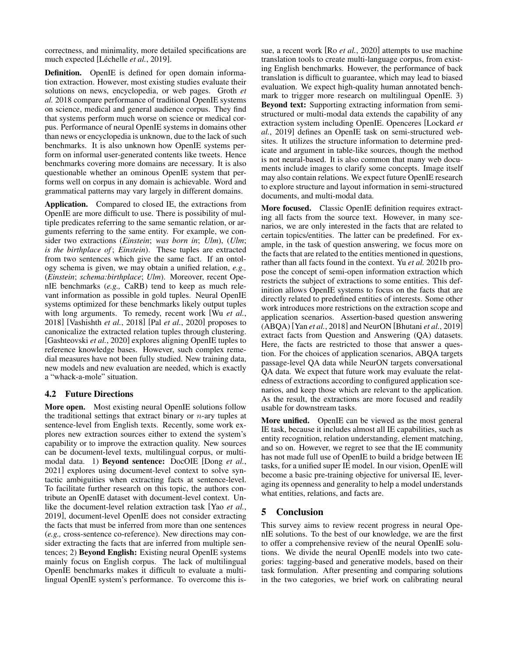correctness, and minimality, more detailed specifications are much expected [Léchelle *et al.*, 2019].

Definition. OpenIE is defined for open domain information extraction. However, most existing studies evaluate their solutions on news, encyclopedia, or web pages. [Groth](#page-6-20) *et [al.](#page-6-20)* [2018](#page-6-20) compare performance of traditional OpenIE systems on science, medical and general audience corpus. They find that systems perform much worse on science or medical corpus. Performance of neural OpenIE systems in domains other than news or encyclopedia is unknown, due to the lack of such benchmarks. It is also unknown how OpenIE systems perform on informal user-generated contents like tweets. Hence benchmarks covering more domains are necessary. It is also questionable whether an ominous OpenIE system that performs well on corpus in any domain is achievable. Word and grammatical patterns may vary largely in different domains.

Application. Compared to closed IE, the extractions from OpenIE are more difficult to use. There is possibility of multiple predicates referring to the same semantic relation, or arguments referring to the same entity. For example, we consider two extractions (*Einstein*; *was born in*; *Ulm*), (*Ulm*; *is the birthplace of* ; *Einstein*). These tuples are extracted from two sentences which give the same fact. If an ontology schema is given, we may obtain a unified relation, *e.g.,* (*Einstein*; *schema:birthplace*; *Ulm*). Moreover, recent OpenIE benchmarks (*e.g.,* CaRB) tend to keep as much relevant information as possible in gold tuples. Neural OpenIE systems optimized for these benchmarks likely output tuples with long arguments. To remedy, recent work [Wu *[et al.](#page-7-19)*, [2018\]](#page-7-19) [\[Vashishth](#page-7-20) *et al.*, 2018] [Pal *et al.*[, 2020\]](#page-7-21) proposes to canonicalize the extracted relation tuples through clustering. [\[Gashteovski](#page-6-21) *et al.*, 2020] explores aligning OpenIE tuples to reference knowledge bases. However, such complex remedial measures have not been fully studied. New training data, new models and new evaluation are needed, which is exactly a "whack-a-mole" situation.

# 4.2 Future Directions

More open. Most existing neural OpenIE solutions follow the traditional settings that extract binary or  $n$ -ary tuples at sentence-level from English texts. Recently, some work explores new extraction sources either to extend the system's capability or to improve the extraction quality. New sources can be document-level texts, multilingual corpus, or multimodal data. 1) Beyond sentence: DocOIE [\[Dong](#page-6-22) *et al.*, [2021\]](#page-6-22) explores using document-level context to solve syntactic ambiguities when extracting facts at sentence-level. To facilitate further research on this topic, the authors contribute an OpenIE dataset with document-level context. Unlike the document-level relation extraction task [Yao *[et al.](#page-7-22)*, [2019\]](#page-7-22), document-level OpenIE does not consider extracting the facts that must be inferred from more than one sentences (*e.g.,* cross-sentence co-reference). New directions may consider extracting the facts that are inferred from multiple sentences; 2) Beyond English: Existing neural OpenIE systems mainly focus on English corpus. The lack of multilingual OpenIE benchmarks makes it difficult to evaluate a multilingual OpenIE system's performance. To overcome this issue, a recent work [Ro *et al.*[, 2020\]](#page-7-11) attempts to use machine translation tools to create multi-language corpus, from existing English benchmarks. However, the performance of back translation is difficult to guarantee, which may lead to biased evaluation. We expect high-quality human annotated benchmark to trigger more research on multilingual OpenIE. 3) Beyond text: Supporting extracting information from semistructured or multi-modal data extends the capability of any extraction system including OpenIE. Openceres [\[Lockard](#page-7-23) *et al.*[, 2019\]](#page-7-23) defines an OpenIE task on semi-structured websites. It utilizes the structure information to determine predicate and argument in table-like sources, though the method is not neural-based. It is also common that many web documents include images to clarify some concepts. Image itself may also contain relations. We expect future OpenIE research to explore structure and layout information in semi-structured documents, and multi-modal data.

More focused. Classic OpenIE definition requires extracting all facts from the source text. However, in many scenarios, we are only interested in the facts that are related to certain topics/entities. The latter can be predefined. For example, in the task of question answering, we focus more on the facts that are related to the entities mentioned in questions, rather than all facts found in the context. Yu *[et al.](#page-7-24)* [2021b](#page-7-24) propose the concept of semi-open information extraction which restricts the subject of extractions to some entities. This definition allows OpenIE systems to focus on the facts that are directly related to predefined entities of interests. Some other work introduces more restrictions on the extraction scope and application scenarios. Assertion-based question answering (ABQA) [Yan *et al.*[, 2018\]](#page-7-25) and NeurON [\[Bhutani](#page-6-23) *et al.*, 2019] extract facts from Question and Answering (QA) datasets. Here, the facts are restricted to those that answer a question. For the choices of application scenarios, ABQA targets passage-level QA data while NeurON targets conversational QA data. We expect that future work may evaluate the relatedness of extractions according to configured application scenarios, and keep those which are relevant to the application. As the result, the extractions are more focused and readily usable for downstream tasks.

More unified. OpenIE can be viewed as the most general IE task, because it includes almost all IE capabilities, such as entity recognition, relation understanding, element matching, and so on. However, we regret to see that the IE community has not made full use of OpenIE to build a bridge between IE tasks, for a unified super IE model. In our vision, OpenIE will become a basic pre-training objective for universal IE, leveraging its openness and generality to help a model understands what entities, relations, and facts are.

# 5 Conclusion

This survey aims to review recent progress in neural OpenIE solutions. To the best of our knowledge, we are the first to offer a comprehensive review of the neural OpenIE solutions. We divide the neural OpenIE models into two categories: tagging-based and generative models, based on their task formulation. After presenting and comparing solutions in the two categories, we brief work on calibrating neural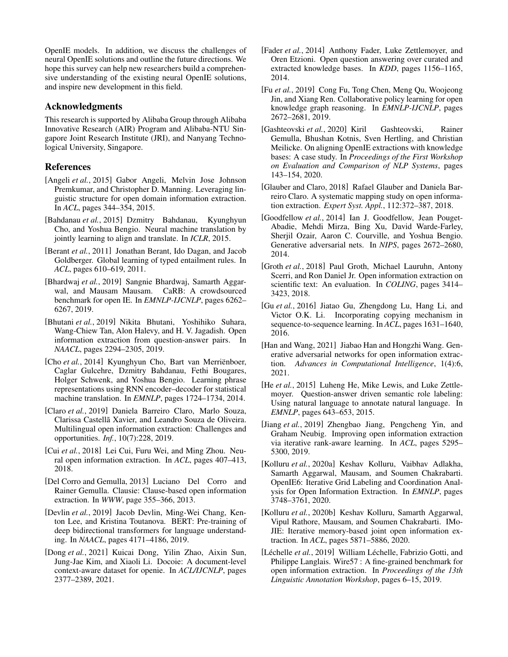OpenIE models. In addition, we discuss the challenges of neural OpenIE solutions and outline the future directions. We hope this survey can help new researchers build a comprehensive understanding of the existing neural OpenIE solutions, and inspire new development in this field.

### Acknowledgments

This research is supported by Alibaba Group through Alibaba Innovative Research (AIR) Program and Alibaba-NTU Singapore Joint Research Institute (JRI), and Nanyang Technological University, Singapore.

### References

- <span id="page-6-18"></span>[Angeli *et al.*, 2015] Gabor Angeli, Melvin Jose Johnson Premkumar, and Christopher D. Manning. Leveraging linguistic structure for open domain information extraction. In *ACL*, pages 344–354, 2015.
- <span id="page-6-12"></span>[Bahdanau *et al.*, 2015] Dzmitry Bahdanau, Kyunghyun Cho, and Yoshua Bengio. Neural machine translation by jointly learning to align and translate. In *ICLR*, 2015.
- <span id="page-6-0"></span>[Berant *et al.*, 2011] Jonathan Berant, Ido Dagan, and Jacob Goldberger. Global learning of typed entailment rules. In *ACL*, pages 610–619, 2011.
- <span id="page-6-3"></span>[Bhardwaj *et al.*, 2019] Sangnie Bhardwaj, Samarth Aggarwal, and Mausam Mausam. CaRB: A crowdsourced benchmark for open IE. In *EMNLP-IJCNLP*, pages 6262– 6267, 2019.
- <span id="page-6-23"></span>[Bhutani *et al.*, 2019] Nikita Bhutani, Yoshihiko Suhara, Wang-Chiew Tan, Alon Halevy, and H. V. Jagadish. Open information extraction from question-answer pairs. In *NAACL*, pages 2294–2305, 2019.
- <span id="page-6-13"></span>[Cho *et al.*, 2014] Kyunghyun Cho, Bart van Merrienboer, Caglar Gulcehre, Dzmitry Bahdanau, Fethi Bougares, Holger Schwenk, and Yoshua Bengio. Learning phrase representations using RNN encoder–decoder for statistical machine translation. In *EMNLP*, pages 1724–1734, 2014.
- <span id="page-6-9"></span>[Claro *et al.*, 2019] Daniela Barreiro Claro, Marlo Souza, Clarissa Castellã Xavier, and Leandro Souza de Oliveira. Multilingual open information extraction: Challenges and opportunities. *Inf.*, 10(7):228, 2019.
- <span id="page-6-4"></span>[Cui *et al.*, 2018] Lei Cui, Furu Wei, and Ming Zhou. Neural open information extraction. In *ACL*, pages 407–413, 2018.
- <span id="page-6-16"></span>[Del Corro and Gemulla, 2013] Luciano Del Corro and Rainer Gemulla. Clausie: Clause-based open information extraction. In *WWW*, page 355–366, 2013.
- <span id="page-6-10"></span>[Devlin *et al.*, 2019] Jacob Devlin, Ming-Wei Chang, Kenton Lee, and Kristina Toutanova. BERT: Pre-training of deep bidirectional transformers for language understanding. In *NAACL*, pages 4171–4186, 2019.
- <span id="page-6-22"></span>[Dong *et al.*, 2021] Kuicai Dong, Yilin Zhao, Aixin Sun, Jung-Jae Kim, and Xiaoli Li. Docoie: A document-level context-aware dataset for openie. In *ACL/IJCNLP*, pages 2377–2389, 2021.
- <span id="page-6-1"></span>[Fader *et al.*, 2014] Anthony Fader, Luke Zettlemoyer, and Oren Etzioni. Open question answering over curated and extracted knowledge bases. In *KDD*, pages 1156–1165, 2014.
- <span id="page-6-2"></span>[Fu *et al.*, 2019] Cong Fu, Tong Chen, Meng Qu, Woojeong Jin, and Xiang Ren. Collaborative policy learning for open knowledge graph reasoning. In *EMNLP-IJCNLP*, pages 2672–2681, 2019.
- <span id="page-6-21"></span>[Gashteovski *et al.*, 2020] Kiril Gashteovski, Rainer Gemulla, Bhushan Kotnis, Sven Hertling, and Christian Meilicke. On aligning OpenIE extractions with knowledge bases: A case study. In *Proceedings of the First Workshop on Evaluation and Comparison of NLP Systems*, pages 143–154, 2020.
- <span id="page-6-8"></span>[Glauber and Claro, 2018] Rafael Glauber and Daniela Barreiro Claro. A systematic mapping study on open information extraction. *Expert Syst. Appl.*, 112:372–387, 2018.
- <span id="page-6-15"></span>[Goodfellow et al., 2014] Ian J. Goodfellow, Jean Pouget-Abadie, Mehdi Mirza, Bing Xu, David Warde-Farley, Sherjil Ozair, Aaron C. Courville, and Yoshua Bengio. Generative adversarial nets. In *NIPS*, pages 2672–2680, 2014.
- <span id="page-6-20"></span>[Groth *et al.*, 2018] Paul Groth, Michael Lauruhn, Antony Scerri, and Ron Daniel Jr. Open information extraction on scientific text: An evaluation. In *COLING*, pages 3414– 3423, 2018.
- <span id="page-6-11"></span>[Gu *et al.*, 2016] Jiatao Gu, Zhengdong Lu, Hang Li, and Victor O.K. Li. Incorporating copying mechanism in sequence-to-sequence learning. In *ACL*, pages 1631–1640, 2016.
- <span id="page-6-14"></span>[Han and Wang, 2021] Jiabao Han and Hongzhi Wang. Generative adversarial networks for open information extraction. *Advances in Computational Intelligence*, 1(4):6, 2021.
- <span id="page-6-17"></span>[He *et al.*, 2015] Luheng He, Mike Lewis, and Luke Zettlemoyer. Question-answer driven semantic role labeling: Using natural language to annotate natural language. In *EMNLP*, pages 643–653, 2015.
- <span id="page-6-7"></span>[Jiang *et al.*, 2019] Zhengbao Jiang, Pengcheng Yin, and Graham Neubig. Improving open information extraction via iterative rank-aware learning. In *ACL*, pages 5295– 5300, 2019.
- <span id="page-6-5"></span>[Kolluru *et al.*, 2020a] Keshav Kolluru, Vaibhav Adlakha, Samarth Aggarwal, Mausam, and Soumen Chakrabarti. OpenIE6: Iterative Grid Labeling and Coordination Analysis for Open Information Extraction. In *EMNLP*, pages 3748–3761, 2020.
- <span id="page-6-6"></span>[Kolluru *et al.*, 2020b] Keshav Kolluru, Samarth Aggarwal, Vipul Rathore, Mausam, and Soumen Chakrabarti. IMo-JIE: Iterative memory-based joint open information extraction. In *ACL*, pages 5871–5886, 2020.
- <span id="page-6-19"></span>[Léchelle et al., 2019] William Léchelle, Fabrizio Gotti, and Philippe Langlais. Wire57 : A fine-grained benchmark for open information extraction. In *Proceedings of the 13th Linguistic Annotation Workshop*, pages 6–15, 2019.